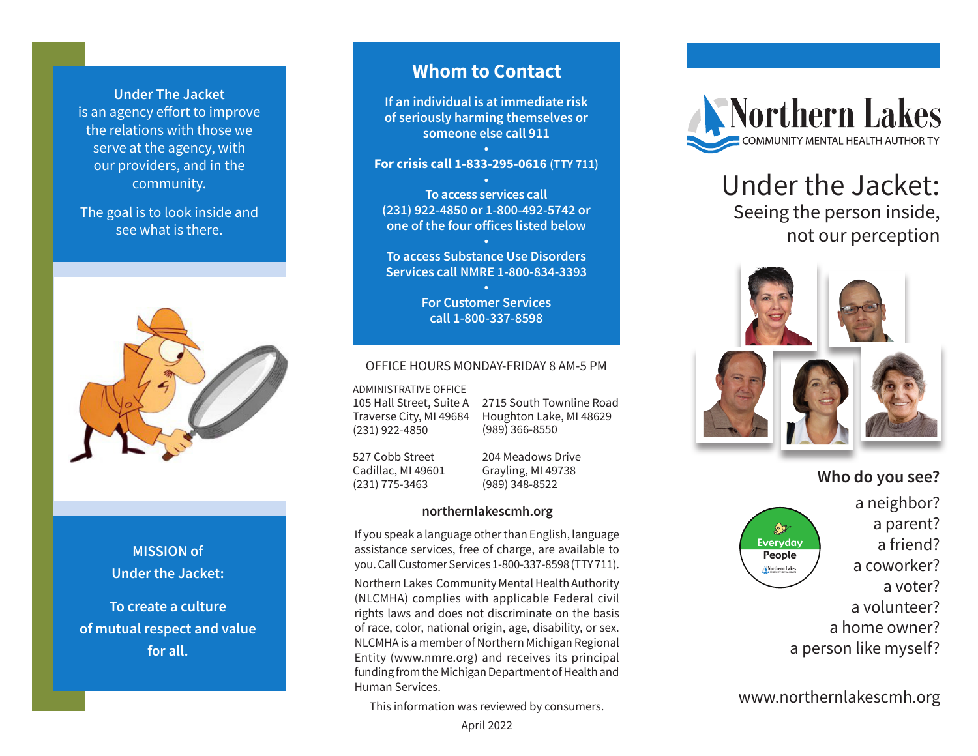**Under The Jacket** is an agency effort to improve the relations with those we serve at the agency, with our providers, and in the community.

The goal is to look inside and see what is there.



## **MISSION of Under the Jacket:**

**To create a culture of mutual respect and value for all.**

# **Whom to Contact**

**If an individual is at immediate risk of seriously harming themselves or someone else call 911**

## **• For crisis call 1-833-295-0616 (TTY 711)**

**• To access services call (231) 922-4850 or 1-800-492-5742 or one of the four offices listed below**

**• To access Substance Use Disorders Services call NMRE 1-800-834-3393**

> **• For Customer Services call 1-800-337-8598**

### OFFICE HOURS MONDAY-FRIDAY 8 AM-5 PM

ADMINISTRATIVE OFFICE

105 Hall Street, Suite A Traverse City, MI 49684 (231) 922-4850

2715 South Townline Road Houghton Lake, MI 48629 (989) 366-8550

527 Cobb Street Cadillac, MI 49601 (231) 775-3463

204 Meadows Drive Grayling, MI 49738 (989) 348-8522

### **northernlakescmh.org**

If you speak a language other than English, language assistance services, free of charge, are available to you. Call Customer Services 1-800-337-8598 (TTY 711).

Northern Lakes Community Mental Health Authority (NLCMHA) complies with applicable Federal civil rights laws and does not discriminate on the basis of race, color, national origin, age, disability, or sex. NLCMHA is a member of Northern Michigan Regional Entity (www.nmre.org) and receives its principal funding from the Michigan Department of Health and Human Services.

This information was reviewed by consumers.



# Under the Jacket: Seeing the person inside, not our perception



# **Who do you see?**



a neighbor? a parent? a friend? a coworker? a voter? a volunteer? a home owner? a person like myself?

www.northernlakescmh.org